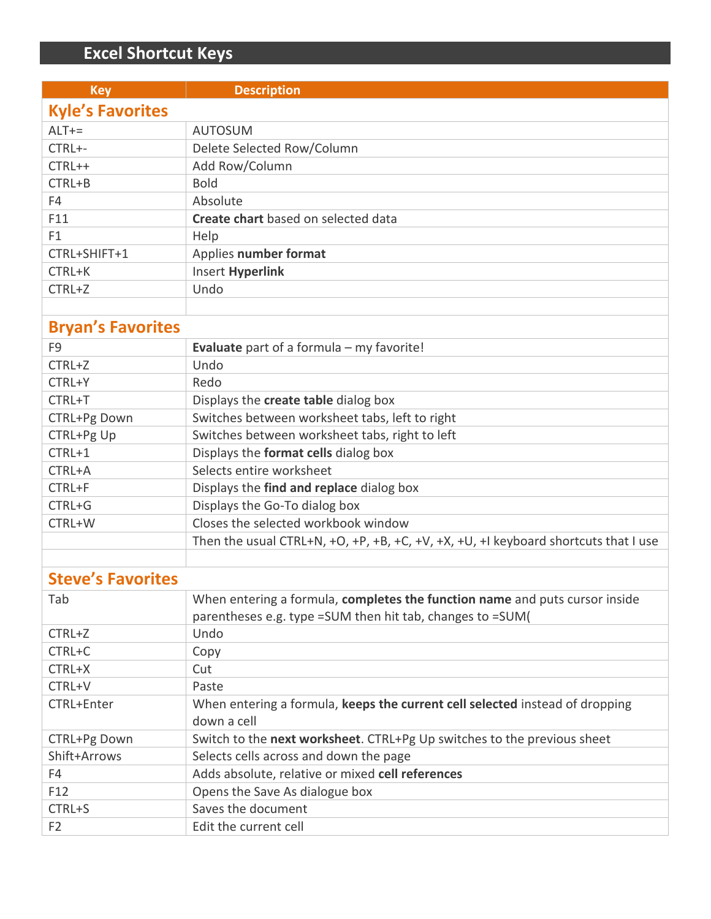## **Excel Shortcut Keys**

| <b>Key</b>               | <b>Description</b>                                                                  |  |
|--------------------------|-------------------------------------------------------------------------------------|--|
| <b>Kyle's Favorites</b>  |                                                                                     |  |
| $ALT +=$                 | <b>AUTOSUM</b>                                                                      |  |
| CTRL+-                   | Delete Selected Row/Column                                                          |  |
| CTRL++                   | Add Row/Column                                                                      |  |
| CTRL+B                   | <b>Bold</b>                                                                         |  |
| F4                       | Absolute                                                                            |  |
| F11                      | Create chart based on selected data                                                 |  |
| F1                       | Help                                                                                |  |
| CTRL+SHIFT+1             | Applies number format                                                               |  |
| CTRL+K                   | <b>Insert Hyperlink</b>                                                             |  |
| CTRL+Z                   | Undo                                                                                |  |
|                          |                                                                                     |  |
| <b>Bryan's Favorites</b> |                                                                                     |  |
| F <sub>9</sub>           | Evaluate part of a formula - my favorite!                                           |  |
| CTRL+Z                   | Undo                                                                                |  |
| CTRL+Y                   | Redo                                                                                |  |
| CTRL+T                   | Displays the create table dialog box                                                |  |
| CTRL+Pg Down             | Switches between worksheet tabs, left to right                                      |  |
| CTRL+Pg Up               | Switches between worksheet tabs, right to left                                      |  |
| CTRL+1                   | Displays the format cells dialog box                                                |  |
| CTRL+A                   | Selects entire worksheet                                                            |  |
| CTRL+F                   | Displays the find and replace dialog box                                            |  |
| CTRL+G                   | Displays the Go-To dialog box                                                       |  |
| CTRL+W                   | Closes the selected workbook window                                                 |  |
|                          | Then the usual CTRL+N, +O, +P, +B, +C, +V, +X, +U, +I keyboard shortcuts that I use |  |
|                          |                                                                                     |  |
| <b>Steve's Favorites</b> |                                                                                     |  |
| Tab                      | When entering a formula, completes the function name and puts cursor inside         |  |
|                          | parentheses e.g. type = SUM then hit tab, changes to = SUM(                         |  |
| CTRL+Z                   | Undo                                                                                |  |
| CTRL+C                   | Copy                                                                                |  |
| CTRL+X                   | Cut                                                                                 |  |
| CTRL+V                   | Paste                                                                               |  |
| CTRL+Enter               | When entering a formula, keeps the current cell selected instead of dropping        |  |
|                          | down a cell                                                                         |  |
| CTRL+Pg Down             | Switch to the next worksheet. CTRL+Pg Up switches to the previous sheet             |  |
| Shift+Arrows             | Selects cells across and down the page                                              |  |
| F4                       | Adds absolute, relative or mixed cell references                                    |  |
| F12                      | Opens the Save As dialogue box                                                      |  |
| CTRL+S                   | Saves the document                                                                  |  |
| F <sub>2</sub>           | Edit the current cell                                                               |  |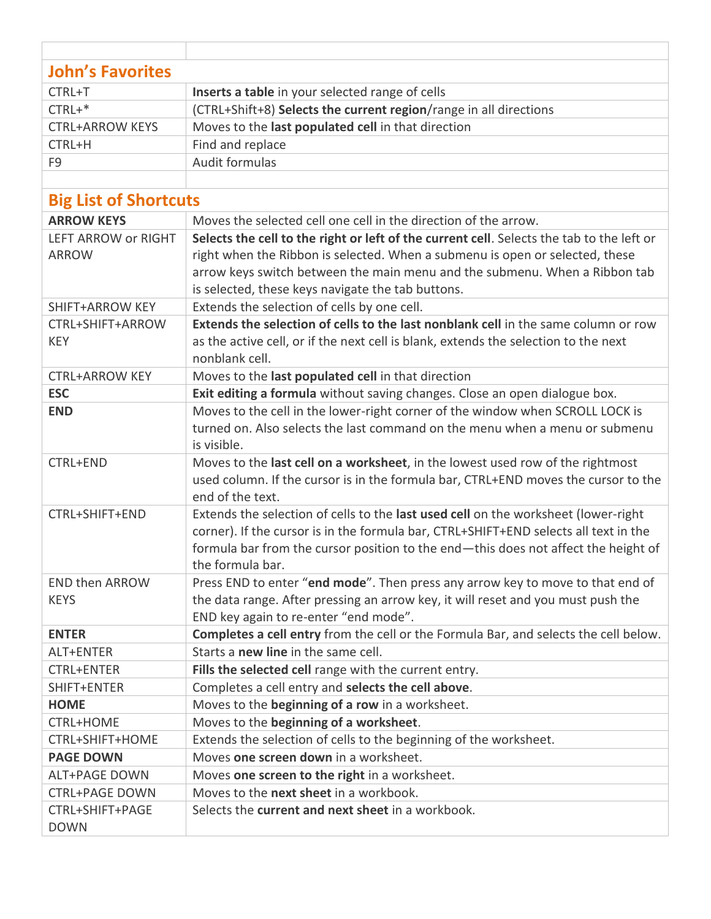| <b>John's Favorites</b>      |                                                                                                                                                                            |  |  |
|------------------------------|----------------------------------------------------------------------------------------------------------------------------------------------------------------------------|--|--|
| CTRL+T                       | Inserts a table in your selected range of cells                                                                                                                            |  |  |
| $CTRL+$                      | (CTRL+Shift+8) Selects the current region/range in all directions                                                                                                          |  |  |
| <b>CTRL+ARROW KEYS</b>       | Moves to the last populated cell in that direction                                                                                                                         |  |  |
| CTRL+H                       | Find and replace                                                                                                                                                           |  |  |
| F <sub>9</sub>               | Audit formulas                                                                                                                                                             |  |  |
|                              |                                                                                                                                                                            |  |  |
| <b>Big List of Shortcuts</b> |                                                                                                                                                                            |  |  |
| <b>ARROW KEYS</b>            | Moves the selected cell one cell in the direction of the arrow.                                                                                                            |  |  |
| LEFT ARROW or RIGHT          | Selects the cell to the right or left of the current cell. Selects the tab to the left or                                                                                  |  |  |
| <b>ARROW</b>                 | right when the Ribbon is selected. When a submenu is open or selected, these                                                                                               |  |  |
|                              | arrow keys switch between the main menu and the submenu. When a Ribbon tab                                                                                                 |  |  |
|                              | is selected, these keys navigate the tab buttons.                                                                                                                          |  |  |
| SHIFT+ARROW KEY              | Extends the selection of cells by one cell.                                                                                                                                |  |  |
| CTRL+SHIFT+ARROW             | Extends the selection of cells to the last nonblank cell in the same column or row                                                                                         |  |  |
| <b>KEY</b>                   | as the active cell, or if the next cell is blank, extends the selection to the next                                                                                        |  |  |
|                              | nonblank cell.                                                                                                                                                             |  |  |
| <b>CTRL+ARROW KEY</b>        | Moves to the last populated cell in that direction                                                                                                                         |  |  |
| <b>ESC</b>                   | Exit editing a formula without saving changes. Close an open dialogue box.                                                                                                 |  |  |
| <b>END</b>                   | Moves to the cell in the lower-right corner of the window when SCROLL LOCK is                                                                                              |  |  |
|                              | turned on. Also selects the last command on the menu when a menu or submenu                                                                                                |  |  |
|                              | is visible.                                                                                                                                                                |  |  |
| CTRL+END                     | Moves to the last cell on a worksheet, in the lowest used row of the rightmost                                                                                             |  |  |
|                              | used column. If the cursor is in the formula bar, CTRL+END moves the cursor to the                                                                                         |  |  |
|                              | end of the text.                                                                                                                                                           |  |  |
| CTRL+SHIFT+END               | Extends the selection of cells to the last used cell on the worksheet (lower-right                                                                                         |  |  |
|                              | corner). If the cursor is in the formula bar, CTRL+SHIFT+END selects all text in the<br>formula bar from the cursor position to the end-this does not affect the height of |  |  |
|                              | the formula bar.                                                                                                                                                           |  |  |
| <b>END then ARROW</b>        | Press END to enter "end mode". Then press any arrow key to move to that end of                                                                                             |  |  |
| <b>KEYS</b>                  | the data range. After pressing an arrow key, it will reset and you must push the                                                                                           |  |  |
|                              | END key again to re-enter "end mode".                                                                                                                                      |  |  |
| <b>ENTER</b>                 | Completes a cell entry from the cell or the Formula Bar, and selects the cell below.                                                                                       |  |  |
| ALT+ENTER                    | Starts a new line in the same cell.                                                                                                                                        |  |  |
| <b>CTRL+ENTER</b>            | Fills the selected cell range with the current entry.                                                                                                                      |  |  |
| SHIFT+ENTER                  | Completes a cell entry and selects the cell above.                                                                                                                         |  |  |
| <b>HOME</b>                  | Moves to the beginning of a row in a worksheet.                                                                                                                            |  |  |
| <b>CTRL+HOME</b>             | Moves to the beginning of a worksheet.                                                                                                                                     |  |  |
| CTRL+SHIFT+HOME              | Extends the selection of cells to the beginning of the worksheet.                                                                                                          |  |  |
| <b>PAGE DOWN</b>             | Moves one screen down in a worksheet.                                                                                                                                      |  |  |
| <b>ALT+PAGE DOWN</b>         | Moves one screen to the right in a worksheet.                                                                                                                              |  |  |
| <b>CTRL+PAGE DOWN</b>        | Moves to the next sheet in a workbook.                                                                                                                                     |  |  |
| CTRL+SHIFT+PAGE              | Selects the <b>current and next sheet</b> in a workbook.                                                                                                                   |  |  |
| <b>DOWN</b>                  |                                                                                                                                                                            |  |  |
|                              |                                                                                                                                                                            |  |  |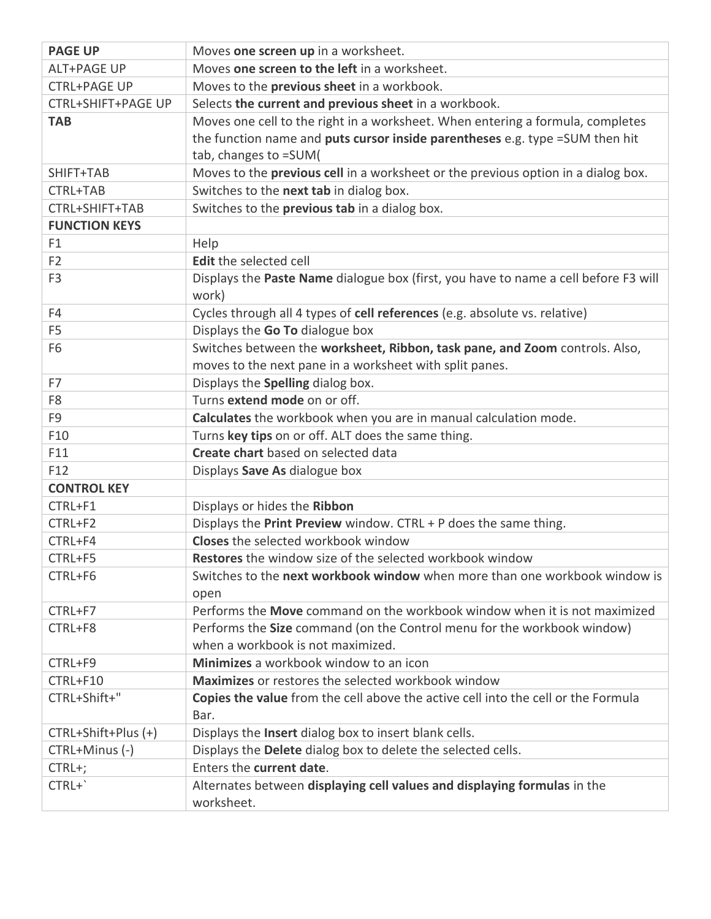| <b>PAGE UP</b>            | Moves one screen up in a worksheet.                                                 |
|---------------------------|-------------------------------------------------------------------------------------|
| <b>ALT+PAGE UP</b>        | Moves one screen to the left in a worksheet.                                        |
| <b>CTRL+PAGE UP</b>       | Moves to the previous sheet in a workbook.                                          |
| <b>CTRL+SHIFT+PAGE UP</b> | Selects the current and previous sheet in a workbook.                               |
| <b>TAB</b>                | Moves one cell to the right in a worksheet. When entering a formula, completes      |
|                           | the function name and puts cursor inside parentheses e.g. type =SUM then hit        |
|                           | tab, changes to =SUM(                                                               |
| SHIFT+TAB                 | Moves to the previous cell in a worksheet or the previous option in a dialog box.   |
| CTRL+TAB                  | Switches to the next tab in dialog box.                                             |
| CTRL+SHIFT+TAB            | Switches to the previous tab in a dialog box.                                       |
| <b>FUNCTION KEYS</b>      |                                                                                     |
| F <sub>1</sub>            | Help                                                                                |
| F <sub>2</sub>            | Edit the selected cell                                                              |
| F <sub>3</sub>            | Displays the Paste Name dialogue box (first, you have to name a cell before F3 will |
|                           | work)                                                                               |
| F4                        | Cycles through all 4 types of cell references (e.g. absolute vs. relative)          |
| F <sub>5</sub>            | Displays the Go To dialogue box                                                     |
| F <sub>6</sub>            | Switches between the worksheet, Ribbon, task pane, and Zoom controls. Also,         |
|                           | moves to the next pane in a worksheet with split panes.                             |
| F7                        | Displays the Spelling dialog box.                                                   |
| F <sub>8</sub>            | Turns extend mode on or off.                                                        |
| F <sub>9</sub>            | Calculates the workbook when you are in manual calculation mode.                    |
| F10                       | Turns key tips on or off. ALT does the same thing.                                  |
| F11                       | Create chart based on selected data                                                 |
| F12                       | Displays Save As dialogue box                                                       |
| <b>CONTROL KEY</b>        |                                                                                     |
| CTRL+F1                   | Displays or hides the Ribbon                                                        |
| CTRL+F2                   | Displays the Print Preview window. CTRL + P does the same thing.                    |
| CTRL+F4                   | <b>Closes</b> the selected workbook window                                          |
| CTRL+F5                   | <b>Restores</b> the window size of the selected workbook window                     |
| CTRL+F6                   | Switches to the next workbook window when more than one workbook window is          |
|                           | open                                                                                |
| CTRL+F7                   | Performs the Move command on the workbook window when it is not maximized           |
| CTRL+F8                   | Performs the Size command (on the Control menu for the workbook window)             |
|                           | when a workbook is not maximized.                                                   |
| CTRL+F9                   | Minimizes a workbook window to an icon                                              |
| CTRL+F10                  | Maximizes or restores the selected workbook window                                  |
| CTRL+Shift+"              | Copies the value from the cell above the active cell into the cell or the Formula   |
|                           | Bar.                                                                                |
| CTRL+Shift+Plus (+)       | Displays the Insert dialog box to insert blank cells.                               |
| CTRL+Minus (-)            | Displays the Delete dialog box to delete the selected cells.                        |
| CTRL+;                    | Enters the current date.                                                            |
| CTRL+`                    | Alternates between displaying cell values and displaying formulas in the            |
|                           | worksheet.                                                                          |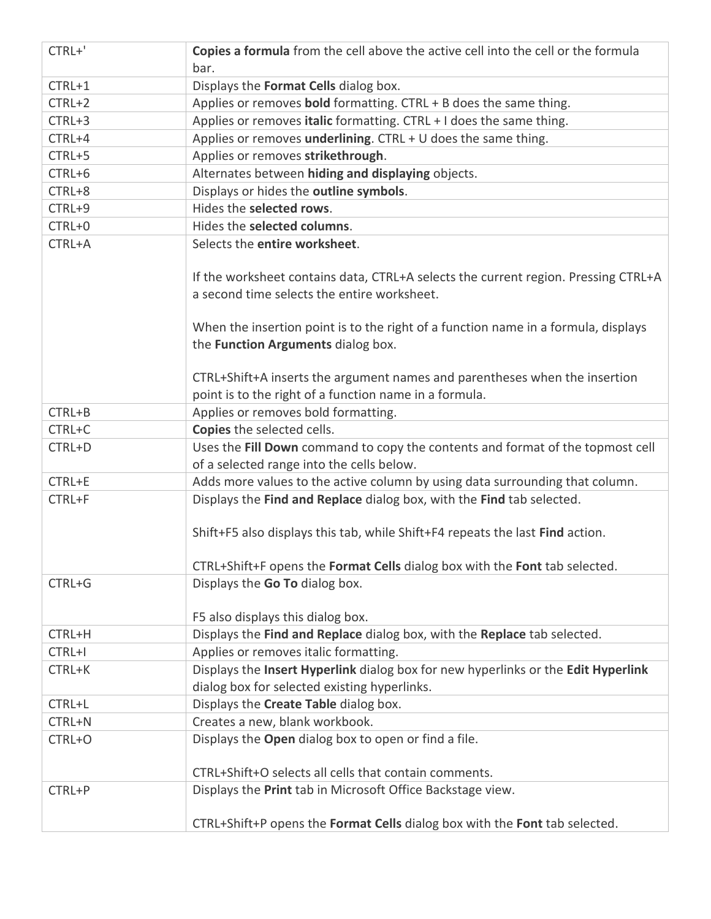| CTRL+'   | Copies a formula from the cell above the active cell into the cell or the formula<br>bar. |
|----------|-------------------------------------------------------------------------------------------|
| CTRL+1   | Displays the Format Cells dialog box.                                                     |
| CTRL+2   | Applies or removes bold formatting. CTRL + B does the same thing.                         |
| $CTRL+3$ | Applies or removes italic formatting. CTRL + I does the same thing.                       |
| CTRL+4   | Applies or removes underlining. CTRL + U does the same thing.                             |
| $CTRL+5$ | Applies or removes strikethrough.                                                         |
| CTRL+6   | Alternates between hiding and displaying objects.                                         |
| CTRL+8   | Displays or hides the outline symbols.                                                    |
| CTRL+9   | Hides the selected rows.                                                                  |
| CTRL+0   | Hides the selected columns.                                                               |
| CTRL+A   | Selects the entire worksheet.                                                             |
|          |                                                                                           |
|          | If the worksheet contains data, CTRL+A selects the current region. Pressing CTRL+A        |
|          | a second time selects the entire worksheet.                                               |
|          |                                                                                           |
|          | When the insertion point is to the right of a function name in a formula, displays        |
|          | the Function Arguments dialog box.                                                        |
|          |                                                                                           |
|          | CTRL+Shift+A inserts the argument names and parentheses when the insertion                |
|          | point is to the right of a function name in a formula.                                    |
| CTRL+B   | Applies or removes bold formatting.                                                       |
| CTRL+C   | Copies the selected cells.                                                                |
| CTRL+D   | Uses the Fill Down command to copy the contents and format of the topmost cell            |
|          | of a selected range into the cells below.                                                 |
| CTRL+E   | Adds more values to the active column by using data surrounding that column.              |
| CTRL+F   | Displays the Find and Replace dialog box, with the Find tab selected.                     |
|          |                                                                                           |
|          | Shift+F5 also displays this tab, while Shift+F4 repeats the last Find action.             |
|          |                                                                                           |
|          | CTRL+Shift+F opens the Format Cells dialog box with the Font tab selected.                |
| CTRL+G   | Displays the Go To dialog box.                                                            |
|          | F5 also displays this dialog box.                                                         |
| CTRL+H   | Displays the Find and Replace dialog box, with the Replace tab selected.                  |
| CTRL+I   | Applies or removes italic formatting.                                                     |
| CTRL+K   | Displays the Insert Hyperlink dialog box for new hyperlinks or the Edit Hyperlink         |
|          | dialog box for selected existing hyperlinks.                                              |
| CTRL+L   | Displays the Create Table dialog box.                                                     |
| CTRL+N   | Creates a new, blank workbook.                                                            |
| CTRL+O   | Displays the Open dialog box to open or find a file.                                      |
|          |                                                                                           |
|          | CTRL+Shift+O selects all cells that contain comments.                                     |
| CTRL+P   | Displays the Print tab in Microsoft Office Backstage view.                                |
|          |                                                                                           |
|          | CTRL+Shift+P opens the Format Cells dialog box with the Font tab selected.                |